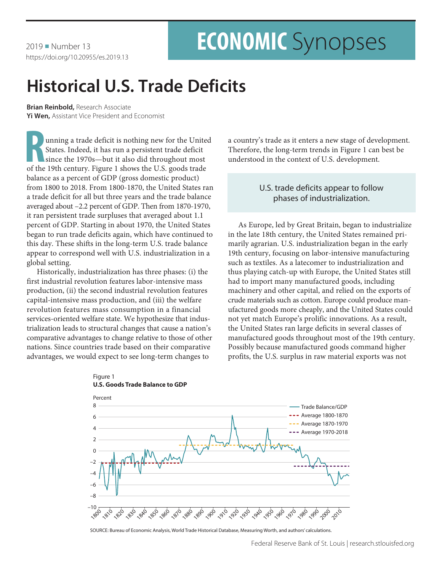2019 Number 13 https://doi.org/10.20955/es.2019.13

# **ECONOMIC** Synopses

# **Historical U.S. Trade Deficits**

**Brian Reinbold,** Research Associate **Yi Wen,** Assistant Vice President and Economist

unning a trade deficit is nothing new for the United States. Indeed, it has run a persistent trade deficit since the 1970s—but it also did throughout most of the 19th century. Figure 1 shows the U.S. goods trade balance as a percent of GDP (gross domestic product) from 1800 to 2018. From 1800-1870, the United States ran a trade deficit for all but three years and the trade balance averaged about –2.2 percent of GDP. Then from 1870-1970, it ran persistent trade surpluses that averaged about 1.1 percent of GDP. Starting in about 1970, the United States began to run trade deficits again, which have continued to this day. These shifts in the long-term U.S. trade balance appear to correspond well with U.S. industrialization in a global setting.

Historically, industrialization has three phases: (i) the first industrial revolution features labor-intensive mass production, (ii) the second industrial revolution features capital-intensive mass production, and (iii) the welfare revolution features mass consumption in a financial services-oriented welfare state. We hypothesize that industrialization leads to structural changes that cause a nation's comparative advantages to change relative to those of other nations. Since countries trade based on their comparative advantages, we would expect to see long-term changes to

a country's trade as it enters a new stage of development. Therefore, the long-term trends in Figure 1 can best be understood in the context of U.S. development.

## U.S. trade deficits appear to follow phases of industrialization.

As Europe, led by Great Britain, began to industrialize in the late 18th century, the United States remained primarily agrarian. U.S. industrialization began in the early 19th century, focusing on labor-intensive manufacturing such as textiles. As a latecomer to industrialization and thus playing catch-up with Europe, the United States still had to import many manufactured goods, including machinery and other capital, and relied on the exports of crude materials such as cotton. Europe could produce manufactured goods more cheaply, and the United States could not yet match Europe's prolific innovations. As a result, the United States ran large deficits in several classes of manufactured goods throughout most of the 19th century. Possibly because manufactured goods command higher profits, the U.S. surplus in raw material exports was not





SOURCE: Bureau of Economic Analysis, World Trade Historical Database, Measuring Worth, and authors' calculations.